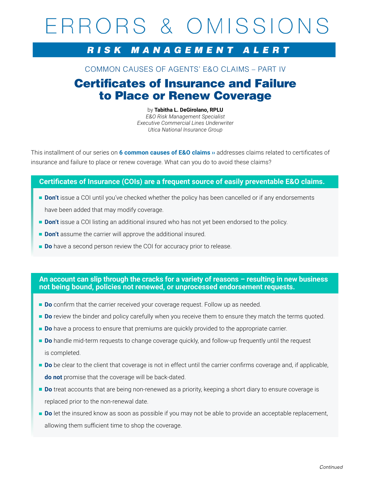# ERRORS & OMISSIONS

## RISK MANAGEMENT ALERT

## COMMON CAUSES OF AGENTS' E&O CLAIMS – PART IV

## Certificates of Insurance and Failure to Place or Renew Coverage

by **Tabitha L. DeGirolano, RPLU**  *E&O Risk Management Specialist Executive Commercial Lines Underwriter Utica National Insurance Group*

This installment of our series on **[6 common causes of E&O claims ››](https://secure.uticanational.com/RulCov-1Vol2/common/star product manuals/loss control material/5-R-1416.pdf)** addresses claims related to certificates of insurance and failure to place or renew coverage. What can you do to avoid these claims?

### **Certificates of Insurance (COIs) are a frequent source of easily preventable E&O claims.**

- **Don't** issue a COI until you've checked whether the policy has been cancelled or if any endorsements have been added that may modify coverage.
- **Don't** issue a COI listing an additional insured who has not yet been endorsed to the policy.
- **Don't** assume the carrier will approve the additional insured.
- **Do** have a second person review the COI for accuracy prior to release.

**An account can slip through the cracks for a variety of reasons – resulting in new business not being bound, policies not renewed, or unprocessed endorsement requests.** 

- **Do** confirm that the carrier received your coverage request. Follow up as needed.
- **Do** review the binder and policy carefully when you receive them to ensure they match the terms quoted.
- **Do** have a process to ensure that premiums are quickly provided to the appropriate carrier.
- **Do** handle mid-term requests to change coverage quickly, and follow-up frequently until the request is completed.
- **Do** be clear to the client that coverage is not in effect until the carrier confirms coverage and, if applicable, **do not** promise that the coverage will be back-dated.
- **Do** treat accounts that are being non-renewed as a priority, keeping a short diary to ensure coverage is replaced prior to the non-renewal date.
- **Do** let the insured know as soon as possible if you may not be able to provide an acceptable replacement, allowing them sufficient time to shop the coverage.